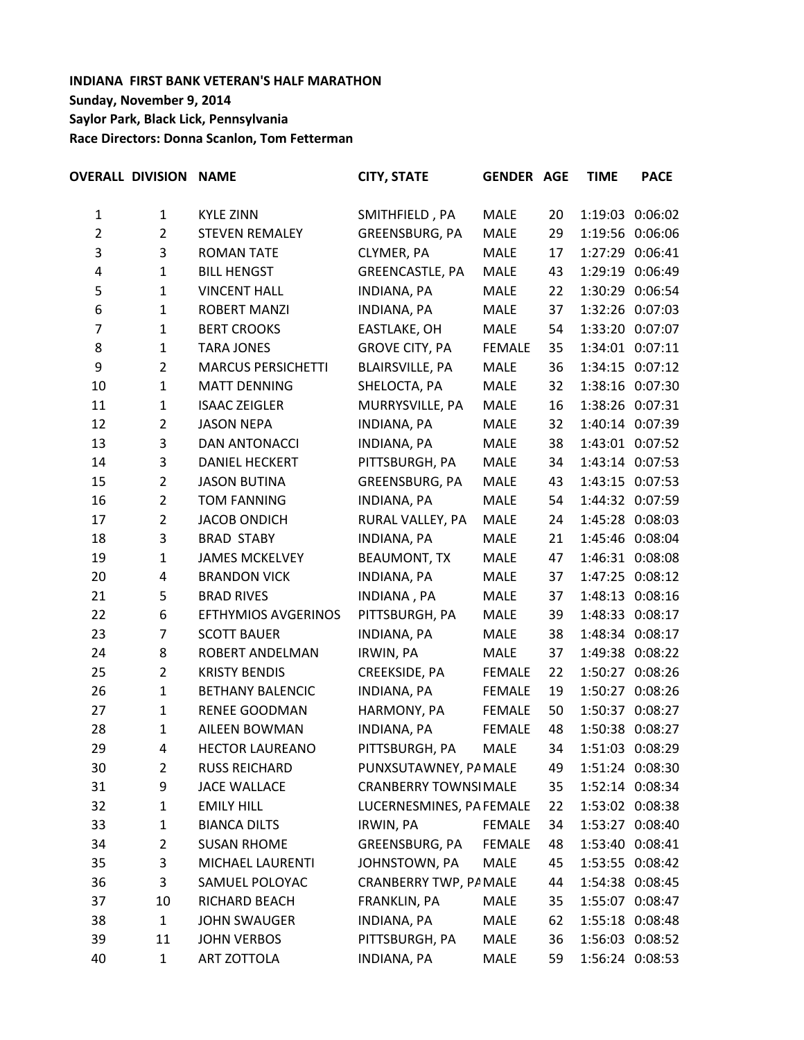# **INDIANA FIRST BANK VETERAN'S HALF MARATHON Sunday, November 9, 2014 Saylor Park, Black Lick, Pennsylvania Race Directors: Donna Scanlon, Tom Fetterman**

|                | <b>OVERALL DIVISION NAME</b> |                            | <b>CITY, STATE</b>           | <b>GENDER AGE</b> |    | <b>TIME</b> | <b>PACE</b>     |
|----------------|------------------------------|----------------------------|------------------------------|-------------------|----|-------------|-----------------|
| $\mathbf{1}$   | $\mathbf{1}$                 | <b>KYLE ZINN</b>           | SMITHFIELD, PA               | MALE              | 20 |             | 1:19:03 0:06:02 |
| $\overline{2}$ | $\overline{2}$               | <b>STEVEN REMALEY</b>      | GREENSBURG, PA               | <b>MALE</b>       | 29 |             | 1:19:56 0:06:06 |
| 3              | 3                            | <b>ROMAN TATE</b>          | CLYMER, PA                   | <b>MALE</b>       | 17 |             | 1:27:29 0:06:41 |
| 4              | $\mathbf{1}$                 | <b>BILL HENGST</b>         | <b>GREENCASTLE, PA</b>       | <b>MALE</b>       | 43 |             | 1:29:19 0:06:49 |
| 5              | $\mathbf{1}$                 | <b>VINCENT HALL</b>        | <b>INDIANA, PA</b>           | MALE              | 22 |             | 1:30:29 0:06:54 |
| 6              | $\mathbf{1}$                 | <b>ROBERT MANZI</b>        | <b>INDIANA, PA</b>           | <b>MALE</b>       | 37 |             | 1:32:26 0:07:03 |
| $\overline{7}$ | $\mathbf{1}$                 | <b>BERT CROOKS</b>         | EASTLAKE, OH                 | <b>MALE</b>       | 54 |             | 1:33:20 0:07:07 |
| 8              | $\mathbf{1}$                 | <b>TARA JONES</b>          | <b>GROVE CITY, PA</b>        | <b>FEMALE</b>     | 35 |             | 1:34:01 0:07:11 |
| 9              | $\overline{2}$               | <b>MARCUS PERSICHETTI</b>  | <b>BLAIRSVILLE, PA</b>       | <b>MALE</b>       | 36 |             | 1:34:15 0:07:12 |
| 10             | $\mathbf{1}$                 | <b>MATT DENNING</b>        | SHELOCTA, PA                 | <b>MALE</b>       | 32 |             | 1:38:16 0:07:30 |
| 11             | $\mathbf{1}$                 | <b>ISAAC ZEIGLER</b>       | MURRYSVILLE, PA              | <b>MALE</b>       | 16 |             | 1:38:26 0:07:31 |
| 12             | $\overline{2}$               | <b>JASON NEPA</b>          | <b>INDIANA, PA</b>           | MALE              | 32 |             | 1:40:14 0:07:39 |
| 13             | 3                            | DAN ANTONACCI              | INDIANA, PA                  | <b>MALE</b>       | 38 |             | 1:43:01 0:07:52 |
| 14             | 3                            | <b>DANIEL HECKERT</b>      | PITTSBURGH, PA               | <b>MALE</b>       | 34 |             | 1:43:14 0:07:53 |
| 15             | $\overline{2}$               | <b>JASON BUTINA</b>        | GREENSBURG, PA               | <b>MALE</b>       | 43 |             | 1:43:15 0:07:53 |
| 16             | $\overline{2}$               | <b>TOM FANNING</b>         | <b>INDIANA, PA</b>           | <b>MALE</b>       | 54 |             | 1:44:32 0:07:59 |
| 17             | $\overline{2}$               | <b>JACOB ONDICH</b>        | RURAL VALLEY, PA             | <b>MALE</b>       | 24 |             | 1:45:28 0:08:03 |
| 18             | 3                            | <b>BRAD STABY</b>          | <b>INDIANA, PA</b>           | <b>MALE</b>       | 21 |             | 1:45:46 0:08:04 |
| 19             | $\mathbf{1}$                 | <b>JAMES MCKELVEY</b>      | <b>BEAUMONT, TX</b>          | <b>MALE</b>       | 47 |             | 1:46:31 0:08:08 |
| 20             | 4                            | <b>BRANDON VICK</b>        | INDIANA, PA                  | <b>MALE</b>       | 37 |             | 1:47:25 0:08:12 |
| 21             | 5                            | <b>BRAD RIVES</b>          | <b>INDIANA, PA</b>           | MALE              | 37 |             | 1:48:13 0:08:16 |
| 22             | 6                            | <b>EFTHYMIOS AVGERINOS</b> | PITTSBURGH, PA               | MALE              | 39 |             | 1:48:33 0:08:17 |
| 23             | $\overline{7}$               | <b>SCOTT BAUER</b>         | <b>INDIANA, PA</b>           | <b>MALE</b>       | 38 |             | 1:48:34 0:08:17 |
| 24             | 8                            | ROBERT ANDELMAN            | IRWIN, PA                    | <b>MALE</b>       | 37 |             | 1:49:38 0:08:22 |
| 25             | $\overline{2}$               | <b>KRISTY BENDIS</b>       | CREEKSIDE, PA                | <b>FEMALE</b>     | 22 |             | 1:50:27 0:08:26 |
| 26             | $\mathbf{1}$                 | <b>BETHANY BALENCIC</b>    | <b>INDIANA, PA</b>           | <b>FEMALE</b>     | 19 |             | 1:50:27 0:08:26 |
| 27             | $\mathbf{1}$                 | <b>RENEE GOODMAN</b>       | HARMONY, PA                  | <b>FEMALE</b>     | 50 |             | 1:50:37 0:08:27 |
| 28             | $\mathbf{1}$                 | <b>AILEEN BOWMAN</b>       | <b>INDIANA, PA</b>           | <b>FEMALE</b>     | 48 |             | 1:50:38 0:08:27 |
| 29             | 4                            | <b>HECTOR LAUREANO</b>     | PITTSBURGH, PA               | <b>MALE</b>       | 34 |             | 1:51:03 0:08:29 |
| 30             | $\overline{2}$               | <b>RUSS REICHARD</b>       | PUNXSUTAWNEY, PA MALE        |                   | 49 |             | 1:51:24 0:08:30 |
| 31             | 9                            | <b>JACE WALLACE</b>        | <b>CRANBERRY TOWNSI MALE</b> |                   | 35 |             | 1:52:14 0:08:34 |
| 32             | $\mathbf{1}$                 | <b>EMILY HILL</b>          | LUCERNESMINES, PA FEMALE     |                   | 22 |             | 1:53:02 0:08:38 |
| 33             | $\mathbf{1}$                 | <b>BIANCA DILTS</b>        | IRWIN, PA                    | <b>FEMALE</b>     | 34 |             | 1:53:27 0:08:40 |
| 34             | $\overline{2}$               | <b>SUSAN RHOME</b>         | GREENSBURG, PA               | <b>FEMALE</b>     | 48 |             | 1:53:40 0:08:41 |
| 35             | 3                            | MICHAEL LAURENTI           | JOHNSTOWN, PA                | MALE              | 45 |             | 1:53:55 0:08:42 |
| 36             | 3                            | SAMUEL POLOYAC             | CRANBERRY TWP, PA MALE       |                   | 44 |             | 1:54:38 0:08:45 |
| 37             | 10                           | RICHARD BEACH              | FRANKLIN, PA                 | <b>MALE</b>       | 35 |             | 1:55:07 0:08:47 |
| 38             | $\mathbf{1}$                 | <b>JOHN SWAUGER</b>        | INDIANA, PA                  | MALE              | 62 |             | 1:55:18 0:08:48 |
| 39             | 11                           | <b>JOHN VERBOS</b>         | PITTSBURGH, PA               | MALE              | 36 |             | 1:56:03 0:08:52 |
| 40             | 1                            | ART ZOTTOLA                | INDIANA, PA                  | MALE              | 59 |             | 1:56:24 0:08:53 |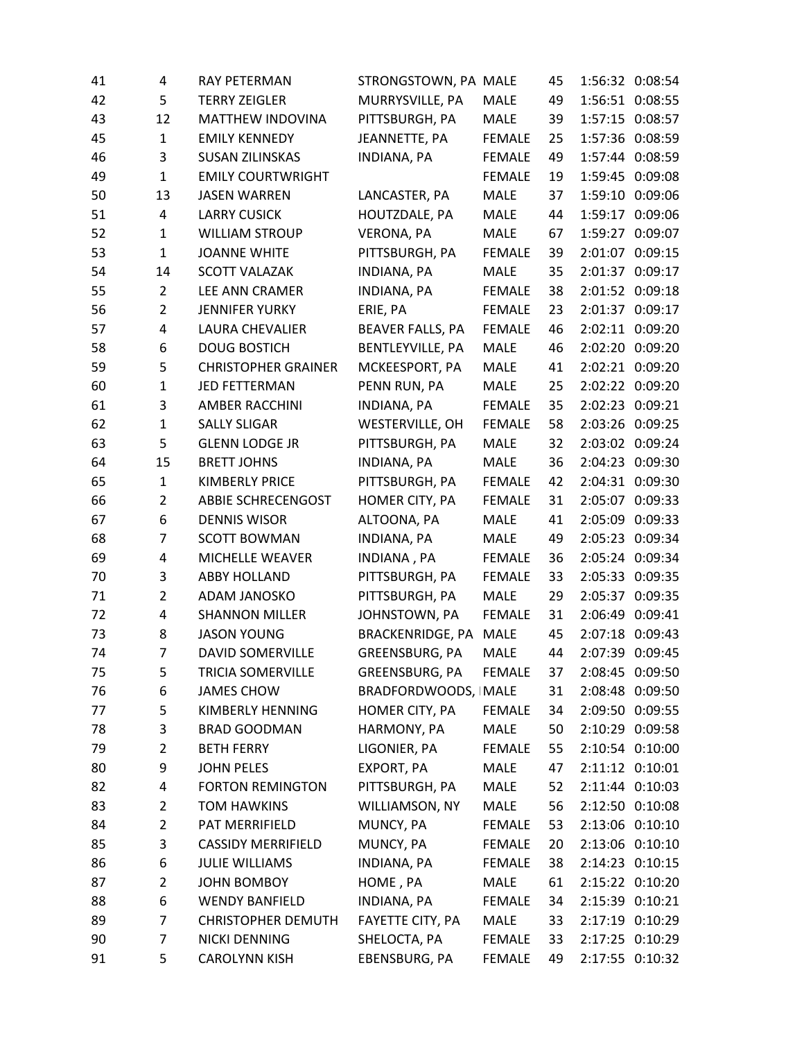| 41 | 4              | RAY PETERMAN               | STRONGSTOWN, PA MALE    |               | 45 |                 | 1:56:32 0:08:54 |
|----|----------------|----------------------------|-------------------------|---------------|----|-----------------|-----------------|
| 42 | 5              | <b>TERRY ZEIGLER</b>       | MURRYSVILLE, PA         | <b>MALE</b>   | 49 | 1:56:51         | 0:08:55         |
| 43 | 12             | MATTHEW INDOVINA           | PITTSBURGH, PA          | <b>MALE</b>   | 39 |                 | 1:57:15 0:08:57 |
| 45 | $\mathbf{1}$   | <b>EMILY KENNEDY</b>       | JEANNETTE, PA           | <b>FEMALE</b> | 25 |                 | 1:57:36 0:08:59 |
| 46 | 3              | <b>SUSAN ZILINSKAS</b>     | <b>INDIANA, PA</b>      | <b>FEMALE</b> | 49 |                 | 1:57:44 0:08:59 |
| 49 | $\mathbf{1}$   | <b>EMILY COURTWRIGHT</b>   |                         | <b>FEMALE</b> | 19 | 1:59:45         | 0:09:08         |
| 50 | 13             | <b>JASEN WARREN</b>        | LANCASTER, PA           | <b>MALE</b>   | 37 | 1:59:10         | 0:09:06         |
| 51 | 4              | <b>LARRY CUSICK</b>        | HOUTZDALE, PA           | MALE          | 44 |                 | 1:59:17 0:09:06 |
| 52 | $\mathbf{1}$   | <b>WILLIAM STROUP</b>      | VERONA, PA              | <b>MALE</b>   | 67 | 1:59:27         | 0:09:07         |
| 53 | $\mathbf{1}$   | <b>JOANNE WHITE</b>        | PITTSBURGH, PA          | <b>FEMALE</b> | 39 |                 | 2:01:07 0:09:15 |
| 54 | 14             | <b>SCOTT VALAZAK</b>       | <b>INDIANA, PA</b>      | <b>MALE</b>   | 35 | 2:01:37         | 0:09:17         |
| 55 | $\overline{2}$ | LEE ANN CRAMER             | <b>INDIANA, PA</b>      | <b>FEMALE</b> | 38 |                 | 2:01:52 0:09:18 |
| 56 | $\overline{2}$ | <b>JENNIFER YURKY</b>      | ERIE, PA                | <b>FEMALE</b> | 23 |                 | 2:01:37 0:09:17 |
| 57 | 4              | <b>LAURA CHEVALIER</b>     | BEAVER FALLS, PA        | <b>FEMALE</b> | 46 | 2:02:11         | 0:09:20         |
| 58 | 6              | <b>DOUG BOSTICH</b>        | BENTLEYVILLE, PA        | <b>MALE</b>   | 46 |                 | 2:02:20 0:09:20 |
| 59 | 5              | <b>CHRISTOPHER GRAINER</b> | MCKEESPORT, PA          | <b>MALE</b>   | 41 | 2:02:21         | 0:09:20         |
| 60 | $\mathbf{1}$   | JED FETTERMAN              | PENN RUN, PA            | <b>MALE</b>   | 25 |                 | 2:02:22 0:09:20 |
| 61 | 3              | <b>AMBER RACCHINI</b>      | <b>INDIANA, PA</b>      | <b>FEMALE</b> | 35 |                 | 2:02:23 0:09:21 |
| 62 | $\mathbf{1}$   | <b>SALLY SLIGAR</b>        | WESTERVILLE, OH         | <b>FEMALE</b> | 58 |                 | 2:03:26 0:09:25 |
| 63 | 5              | <b>GLENN LODGE JR</b>      | PITTSBURGH, PA          | MALE          | 32 |                 | 2:03:02 0:09:24 |
| 64 | 15             | <b>BRETT JOHNS</b>         | <b>INDIANA, PA</b>      | <b>MALE</b>   | 36 |                 | 2:04:23 0:09:30 |
| 65 | $\mathbf{1}$   | <b>KIMBERLY PRICE</b>      | PITTSBURGH, PA          | <b>FEMALE</b> | 42 |                 | 2:04:31 0:09:30 |
| 66 | $\overline{2}$ | <b>ABBIE SCHRECENGOST</b>  | HOMER CITY, PA          | <b>FEMALE</b> | 31 | 2:05:07 0:09:33 |                 |
| 67 | 6              | <b>DENNIS WISOR</b>        | ALTOONA, PA             | <b>MALE</b>   | 41 | 2:05:09 0:09:33 |                 |
| 68 | 7              | <b>SCOTT BOWMAN</b>        | INDIANA, PA             | <b>MALE</b>   | 49 | 2:05:23         | 0:09:34         |
| 69 | 4              | MICHELLE WEAVER            | INDIANA, PA             | <b>FEMALE</b> | 36 |                 | 2:05:24 0:09:34 |
| 70 | 3              | <b>ABBY HOLLAND</b>        | PITTSBURGH, PA          | <b>FEMALE</b> | 33 |                 | 2:05:33 0:09:35 |
| 71 | $\overline{2}$ | <b>ADAM JANOSKO</b>        | PITTSBURGH, PA          | <b>MALE</b>   | 29 | 2:05:37         | 0:09:35         |
| 72 | 4              | <b>SHANNON MILLER</b>      | JOHNSTOWN, PA           | <b>FEMALE</b> | 31 |                 | 2:06:49 0:09:41 |
| 73 | 8              | <b>JASON YOUNG</b>         | <b>BRACKENRIDGE, PA</b> | <b>MALE</b>   | 45 | 2:07:18 0:09:43 |                 |
| 74 | $\overline{7}$ | DAVID SOMERVILLE           | GREENSBURG, PA          | MALE          | 44 |                 | 2:07:39 0:09:45 |
| 75 | 5              | TRICIA SOMERVILLE          | GREENSBURG, PA          | <b>FEMALE</b> | 37 |                 | 2:08:45 0:09:50 |
| 76 | 6              | <b>JAMES CHOW</b>          | BRADFORDWOODS, MALE     |               | 31 |                 | 2:08:48 0:09:50 |
| 77 | 5              | KIMBERLY HENNING           | HOMER CITY, PA          | <b>FEMALE</b> | 34 |                 | 2:09:50 0:09:55 |
| 78 | 3              | <b>BRAD GOODMAN</b>        | HARMONY, PA             | <b>MALE</b>   | 50 |                 | 2:10:29 0:09:58 |
| 79 | $\overline{2}$ | <b>BETH FERRY</b>          | LIGONIER, PA            | <b>FEMALE</b> | 55 |                 | 2:10:54 0:10:00 |
| 80 | 9              | <b>JOHN PELES</b>          | EXPORT, PA              | <b>MALE</b>   | 47 |                 | 2:11:12 0:10:01 |
| 82 | 4              | <b>FORTON REMINGTON</b>    | PITTSBURGH, PA          | MALE          | 52 |                 | 2:11:44 0:10:03 |
| 83 | $\overline{2}$ | <b>TOM HAWKINS</b>         | WILLIAMSON, NY          | MALE          | 56 |                 | 2:12:50 0:10:08 |
| 84 | $\overline{2}$ | PAT MERRIFIELD             | MUNCY, PA               | <b>FEMALE</b> | 53 |                 | 2:13:06 0:10:10 |
| 85 | 3              | <b>CASSIDY MERRIFIELD</b>  | MUNCY, PA               | FEMALE        | 20 |                 | 2:13:06 0:10:10 |
| 86 | 6              | <b>JULIE WILLIAMS</b>      | INDIANA, PA             | <b>FEMALE</b> | 38 |                 | 2:14:23 0:10:15 |
| 87 | $\overline{2}$ | <b>JOHN BOMBOY</b>         | HOME, PA                | MALE          | 61 |                 | 2:15:22 0:10:20 |
| 88 | 6              | <b>WENDY BANFIELD</b>      | INDIANA, PA             | <b>FEMALE</b> | 34 |                 | 2:15:39 0:10:21 |
| 89 | 7              | <b>CHRISTOPHER DEMUTH</b>  | FAYETTE CITY, PA        | MALE          | 33 |                 | 2:17:19 0:10:29 |
| 90 | 7              | NICKI DENNING              | SHELOCTA, PA            | <b>FEMALE</b> | 33 |                 | 2:17:25 0:10:29 |
| 91 | 5              | <b>CAROLYNN KISH</b>       | EBENSBURG, PA           | <b>FEMALE</b> | 49 |                 | 2:17:55 0:10:32 |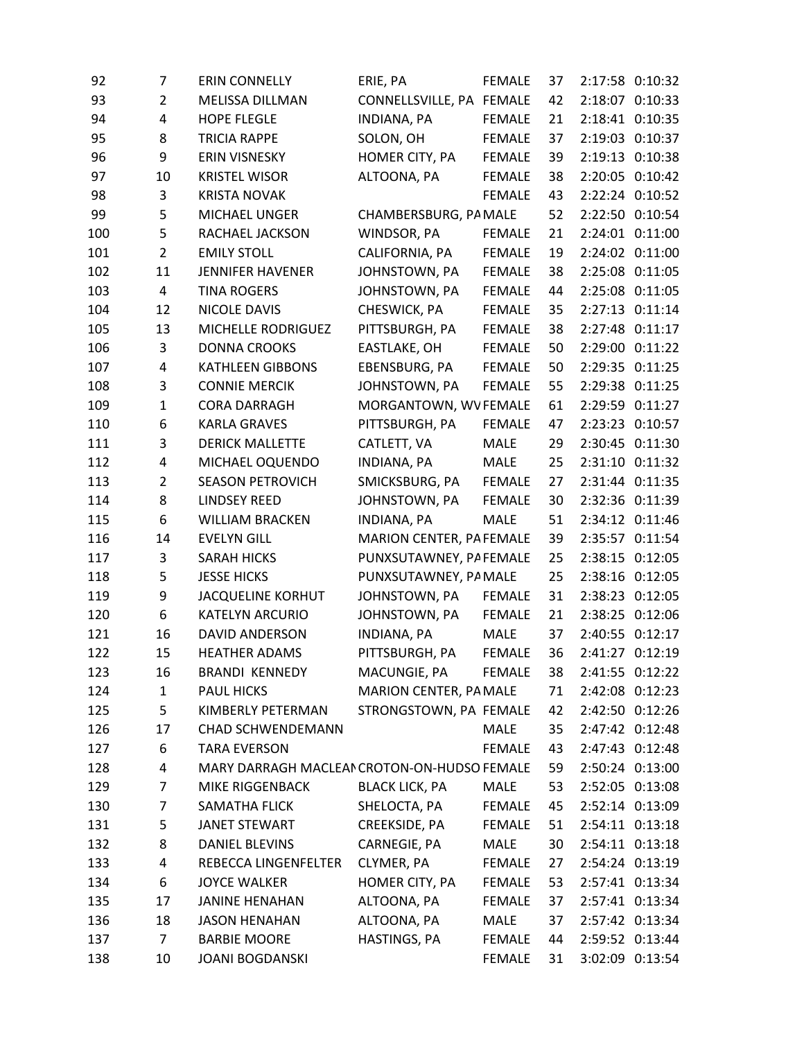| 92  | 7                       | <b>ERIN CONNELLY</b>                        | ERIE, PA                 | <b>FEMALE</b> | 37 | 2:17:58 0:10:32 |
|-----|-------------------------|---------------------------------------------|--------------------------|---------------|----|-----------------|
| 93  | $\overline{2}$          | MELISSA DILLMAN                             | CONNELLSVILLE, PA FEMALE |               | 42 | 2:18:07 0:10:33 |
| 94  | $\overline{\mathbf{4}}$ | <b>HOPE FLEGLE</b>                          | INDIANA, PA              | <b>FEMALE</b> | 21 | 2:18:41 0:10:35 |
| 95  | 8                       | <b>TRICIA RAPPE</b>                         | SOLON, OH                | <b>FEMALE</b> | 37 | 2:19:03 0:10:37 |
| 96  | 9                       | ERIN VISNESKY                               | HOMER CITY, PA           | <b>FEMALE</b> | 39 | 2:19:13 0:10:38 |
| 97  | 10                      | <b>KRISTEL WISOR</b>                        | ALTOONA, PA              | <b>FEMALE</b> | 38 | 2:20:05 0:10:42 |
| 98  | 3                       | <b>KRISTA NOVAK</b>                         |                          | <b>FEMALE</b> | 43 | 2:22:24 0:10:52 |
| 99  | 5                       | MICHAEL UNGER                               | CHAMBERSBURG, PA MALE    |               | 52 | 2:22:50 0:10:54 |
| 100 | 5                       | RACHAEL JACKSON                             | WINDSOR, PA              | <b>FEMALE</b> | 21 | 2:24:01 0:11:00 |
| 101 | $\overline{2}$          | <b>EMILY STOLL</b>                          | CALIFORNIA, PA           | <b>FEMALE</b> | 19 | 2:24:02 0:11:00 |
| 102 | 11                      | <b>JENNIFER HAVENER</b>                     | JOHNSTOWN, PA            | <b>FEMALE</b> | 38 | 2:25:08 0:11:05 |
| 103 | 4                       | <b>TINA ROGERS</b>                          | JOHNSTOWN, PA            | <b>FEMALE</b> | 44 | 2:25:08 0:11:05 |
| 104 | 12                      | NICOLE DAVIS                                | CHESWICK, PA             | <b>FEMALE</b> | 35 | 2:27:13 0:11:14 |
| 105 | 13                      | MICHELLE RODRIGUEZ                          | PITTSBURGH, PA           | <b>FEMALE</b> | 38 | 2:27:48 0:11:17 |
| 106 | 3                       | <b>DONNA CROOKS</b>                         | EASTLAKE, OH             | <b>FEMALE</b> | 50 | 2:29:00 0:11:22 |
| 107 | 4                       | <b>KATHLEEN GIBBONS</b>                     | EBENSBURG, PA            | <b>FEMALE</b> | 50 | 2:29:35 0:11:25 |
| 108 | 3                       | <b>CONNIE MERCIK</b>                        | JOHNSTOWN, PA            | <b>FEMALE</b> | 55 | 2:29:38 0:11:25 |
| 109 | $\mathbf{1}$            | <b>CORA DARRAGH</b>                         | MORGANTOWN, WV FEMALE    |               | 61 | 2:29:59 0:11:27 |
| 110 | 6                       | <b>KARLA GRAVES</b>                         | PITTSBURGH, PA           | <b>FEMALE</b> | 47 | 2:23:23 0:10:57 |
| 111 | 3                       | <b>DERICK MALLETTE</b>                      | CATLETT, VA              | MALE          | 29 | 2:30:45 0:11:30 |
| 112 | 4                       | MICHAEL OQUENDO                             | INDIANA, PA              | <b>MALE</b>   | 25 | 2:31:10 0:11:32 |
| 113 | $\overline{2}$          | <b>SEASON PETROVICH</b>                     | SMICKSBURG, PA           | <b>FEMALE</b> | 27 | 2:31:44 0:11:35 |
| 114 | 8                       | <b>LINDSEY REED</b>                         | JOHNSTOWN, PA            | <b>FEMALE</b> | 30 | 2:32:36 0:11:39 |
| 115 | 6                       | <b>WILLIAM BRACKEN</b>                      | INDIANA, PA              | <b>MALE</b>   | 51 | 2:34:12 0:11:46 |
| 116 | 14                      | <b>EVELYN GILL</b>                          | MARION CENTER, PA FEMALE |               | 39 | 2:35:57 0:11:54 |
| 117 | 3                       | <b>SARAH HICKS</b>                          | PUNXSUTAWNEY, PA FEMALE  |               | 25 | 2:38:15 0:12:05 |
| 118 | 5                       | <b>JESSE HICKS</b>                          | PUNXSUTAWNEY, PA MALE    |               | 25 | 2:38:16 0:12:05 |
| 119 | 9                       | <b>JACQUELINE KORHUT</b>                    | JOHNSTOWN, PA            | <b>FEMALE</b> | 31 | 2:38:23 0:12:05 |
| 120 | $\boldsymbol{6}$        | <b>KATELYN ARCURIO</b>                      | JOHNSTOWN, PA            | <b>FEMALE</b> | 21 | 2:38:25 0:12:06 |
| 121 | 16                      | <b>DAVID ANDERSON</b>                       | INDIANA, PA              | <b>MALE</b>   | 37 | 2:40:55 0:12:17 |
| 122 | 15                      | <b>HEATHER ADAMS</b>                        | PITTSBURGH, PA           | <b>FEMALE</b> | 36 | 2:41:27 0:12:19 |
| 123 | 16                      | <b>BRANDI KENNEDY</b>                       | MACUNGIE, PA             | <b>FEMALE</b> | 38 | 2:41:55 0:12:22 |
| 124 | $\mathbf{1}$            | <b>PAUL HICKS</b>                           | MARION CENTER, PA MALE   |               | 71 | 2:42:08 0:12:23 |
| 125 | 5                       | KIMBERLY PETERMAN                           | STRONGSTOWN, PA FEMALE   |               | 42 | 2:42:50 0:12:26 |
| 126 | 17                      | <b>CHAD SCHWENDEMANN</b>                    |                          | MALE          | 35 | 2:47:42 0:12:48 |
| 127 | 6                       | <b>TARA EVERSON</b>                         |                          | <b>FEMALE</b> | 43 | 2:47:43 0:12:48 |
| 128 | 4                       | MARY DARRAGH MACLEAN CROTON-ON-HUDSO FEMALE |                          |               | 59 | 2:50:24 0:13:00 |
| 129 | 7                       | MIKE RIGGENBACK                             | <b>BLACK LICK, PA</b>    | MALE          | 53 | 2:52:05 0:13:08 |
| 130 | 7                       | SAMATHA FLICK                               | SHELOCTA, PA             | FEMALE        | 45 | 2:52:14 0:13:09 |
| 131 | 5                       | JANET STEWART                               | CREEKSIDE, PA            | <b>FEMALE</b> | 51 | 2:54:11 0:13:18 |
| 132 | 8                       | DANIEL BLEVINS                              | CARNEGIE, PA             | MALE          | 30 | 2:54:11 0:13:18 |
| 133 | 4                       | REBECCA LINGENFELTER                        | CLYMER, PA               | FEMALE        | 27 | 2:54:24 0:13:19 |
| 134 | 6                       | <b>JOYCE WALKER</b>                         | HOMER CITY, PA           | FEMALE        | 53 | 2:57:41 0:13:34 |
| 135 | 17                      | <b>JANINE HENAHAN</b>                       | ALTOONA, PA              | <b>FEMALE</b> | 37 | 2:57:41 0:13:34 |
| 136 | 18                      | <b>JASON HENAHAN</b>                        | ALTOONA, PA              | MALE          | 37 | 2:57:42 0:13:34 |
| 137 | $\overline{7}$          | <b>BARBIE MOORE</b>                         | HASTINGS, PA             | FEMALE        | 44 | 2:59:52 0:13:44 |
| 138 | 10                      | <b>JOANI BOGDANSKI</b>                      |                          | FEMALE        | 31 | 3:02:09 0:13:54 |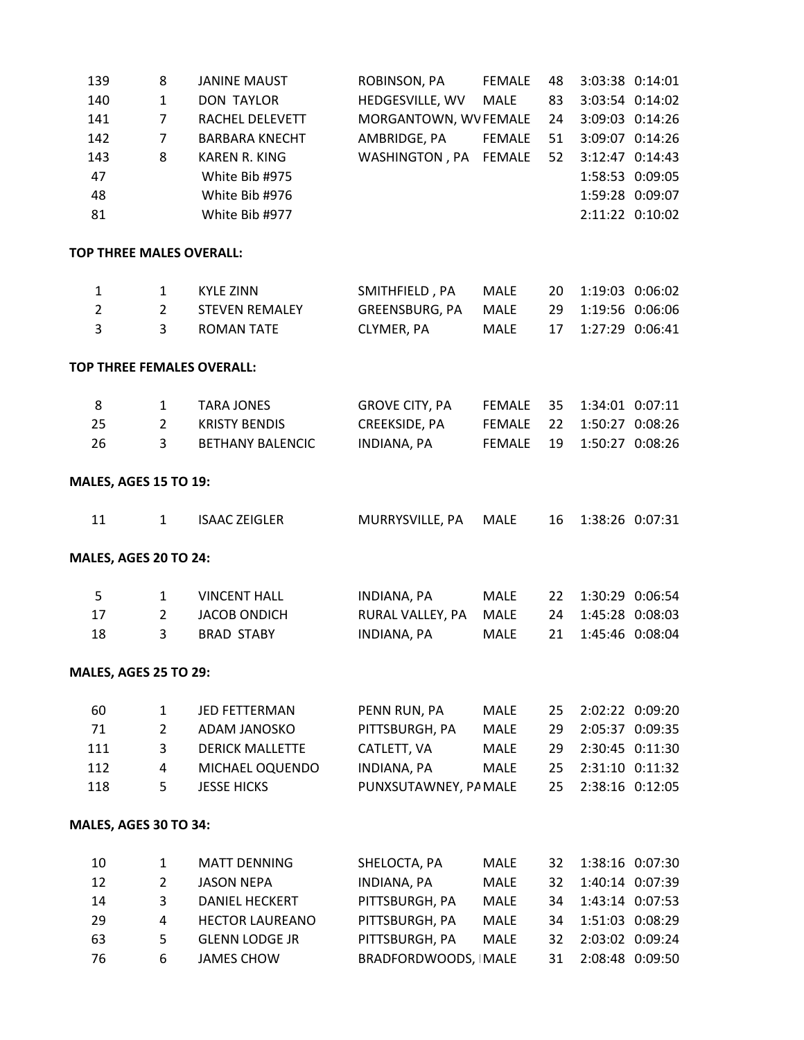| 139                          | 8              | <b>JANINE MAUST</b>        | ROBINSON, PA          | <b>FEMALE</b> | 48 |         | 3:03:38 0:14:01 |
|------------------------------|----------------|----------------------------|-----------------------|---------------|----|---------|-----------------|
| 140                          | $\mathbf{1}$   | <b>DON TAYLOR</b>          | HEDGESVILLE, WV       | <b>MALE</b>   | 83 |         | 3:03:54 0:14:02 |
| 141                          | $\overline{7}$ | RACHEL DELEVETT            | MORGANTOWN, WV FEMALE |               | 24 |         | 3:09:03 0:14:26 |
| 142                          | $\overline{7}$ | <b>BARBARA KNECHT</b>      | AMBRIDGE, PA          | <b>FEMALE</b> | 51 |         | 3:09:07 0:14:26 |
| 143                          | 8              | <b>KAREN R. KING</b>       | WASHINGTON, PA        | <b>FEMALE</b> | 52 |         | 3:12:47 0:14:43 |
| 47                           |                | White Bib #975             |                       |               |    |         | 1:58:53 0:09:05 |
| 48                           |                | White Bib #976             |                       |               |    |         | 1:59:28 0:09:07 |
| 81                           |                | White Bib #977             |                       |               |    |         | 2:11:22 0:10:02 |
|                              |                |                            |                       |               |    |         |                 |
| TOP THREE MALES OVERALL:     |                |                            |                       |               |    |         |                 |
| $\mathbf{1}$                 | $\mathbf{1}$   | <b>KYLE ZINN</b>           | SMITHFIELD, PA        | MALE          | 20 |         | 1:19:03 0:06:02 |
| $\overline{2}$               | $\overline{2}$ | <b>STEVEN REMALEY</b>      | GREENSBURG, PA        | <b>MALE</b>   | 29 |         | 1:19:56 0:06:06 |
| 3                            | 3              | <b>ROMAN TATE</b>          | CLYMER, PA            | <b>MALE</b>   | 17 |         | 1:27:29 0:06:41 |
|                              |                | TOP THREE FEMALES OVERALL: |                       |               |    |         |                 |
|                              |                |                            |                       |               |    |         |                 |
| 8                            | $\mathbf{1}$   | <b>TARA JONES</b>          | <b>GROVE CITY, PA</b> | <b>FEMALE</b> | 35 |         | 1:34:01 0:07:11 |
| 25                           | $\overline{2}$ | <b>KRISTY BENDIS</b>       | CREEKSIDE, PA         | <b>FEMALE</b> | 22 |         | 1:50:27 0:08:26 |
| 26                           | 3              | <b>BETHANY BALENCIC</b>    | <b>INDIANA, PA</b>    | <b>FEMALE</b> | 19 |         | 1:50:27 0:08:26 |
|                              |                |                            |                       |               |    |         |                 |
| <b>MALES, AGES 15 TO 19:</b> |                |                            |                       |               |    |         |                 |
| 11                           | $\mathbf{1}$   | <b>ISAAC ZEIGLER</b>       | MURRYSVILLE, PA       | MALE          | 16 |         | 1:38:26 0:07:31 |
| <b>MALES, AGES 20 TO 24:</b> |                |                            |                       |               |    |         |                 |
| 5                            | $\mathbf{1}$   | <b>VINCENT HALL</b>        | INDIANA, PA           | MALE          | 22 |         | 1:30:29 0:06:54 |
| 17                           | $\overline{2}$ | <b>JACOB ONDICH</b>        | RURAL VALLEY, PA      | <b>MALE</b>   | 24 |         | 1:45:28 0:08:03 |
| 18                           | 3              | <b>BRAD STABY</b>          | INDIANA, PA           | MALE          | 21 |         | 1:45:46 0:08:04 |
|                              |                |                            |                       |               |    |         |                 |
| <b>MALES, AGES 25 TO 29:</b> |                |                            |                       |               |    |         |                 |
| 60                           | $\mathbf{1}$   | JED FETTERMAN              | PENN RUN, PA          | <b>MALE</b>   | 25 |         | 2:02:22 0:09:20 |
| 71                           | $\overline{2}$ | ADAM JANOSKO               | PITTSBURGH, PA        | <b>MALE</b>   | 29 | 2:05:37 | 0:09:35         |
| 111                          | 3              | <b>DERICK MALLETTE</b>     | CATLETT, VA           | MALE          | 29 |         | 2:30:45 0:11:30 |
| 112                          | 4              | MICHAEL OQUENDO            | <b>INDIANA, PA</b>    | MALE          | 25 |         | 2:31:10 0:11:32 |
| 118                          | 5              | <b>JESSE HICKS</b>         | PUNXSUTAWNEY, PA MALE |               | 25 |         | 2:38:16 0:12:05 |
| MALES, AGES 30 TO 34:        |                |                            |                       |               |    |         |                 |
|                              |                |                            |                       |               |    |         |                 |
| 10                           | 1              | <b>MATT DENNING</b>        | SHELOCTA, PA          | MALE          | 32 |         | 1:38:16 0:07:30 |
| 12                           | $\overline{2}$ | <b>JASON NEPA</b>          | <b>INDIANA, PA</b>    | MALE          | 32 |         | 1:40:14 0:07:39 |
| 14                           | 3              | <b>DANIEL HECKERT</b>      | PITTSBURGH, PA        | <b>MALE</b>   | 34 |         | 1:43:14 0:07:53 |
| 29                           | 4              | <b>HECTOR LAUREANO</b>     | PITTSBURGH, PA        | MALE          | 34 |         | 1:51:03 0:08:29 |
| 63                           | 5              | <b>GLENN LODGE JR</b>      | PITTSBURGH, PA        | <b>MALE</b>   | 32 |         | 2:03:02 0:09:24 |
| 76                           | 6              | <b>JAMES CHOW</b>          | BRADFORDWOODS, MALE   |               | 31 |         | 2:08:48 0:09:50 |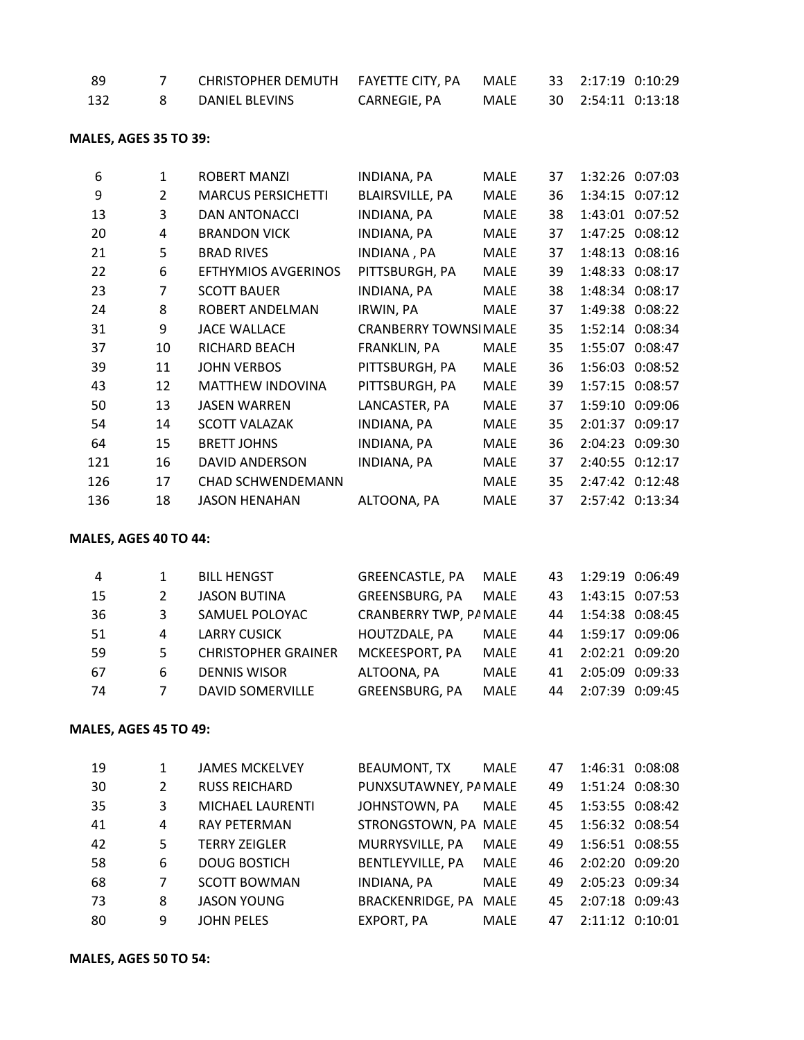| - 89 | CHRISTOPHER DEMUTH FAYETTE CITY, PA MALE |              |      | 33 2:17:19 0:10:29 |  |
|------|------------------------------------------|--------------|------|--------------------|--|
| 132  | DANIEL BLEVINS                           | CARNEGIE, PA | MALE | 30 2:54:11 0:13:18 |  |

#### **MALES, AGES 35 TO 39:**

| 6   | 1              | ROBERT MANZI              | INDIANA, PA                  | <b>MALE</b> | 37 |         | 1:32:26 0:07:03 |
|-----|----------------|---------------------------|------------------------------|-------------|----|---------|-----------------|
| 9   | $\overline{2}$ | <b>MARCUS PERSICHETTI</b> | <b>BLAIRSVILLE, PA</b>       | MALE        | 36 |         | 1:34:15 0:07:12 |
| 13  | 3              | <b>DAN ANTONACCI</b>      | INDIANA, PA                  | <b>MALE</b> | 38 | 1:43:01 | 0:07:52         |
| 20  | 4              | <b>BRANDON VICK</b>       | INDIANA, PA                  | <b>MALE</b> | 37 |         | 1:47:25 0:08:12 |
| 21  | 5              | <b>BRAD RIVES</b>         | INDIANA , PA                 | <b>MALE</b> | 37 | 1:48:13 | 0:08:16         |
| 22  | 6              | EFTHYMIOS AVGERINOS       | PITTSBURGH, PA               | <b>MALE</b> | 39 |         | 1:48:33 0:08:17 |
| 23  | $\overline{7}$ | <b>SCOTT BAUER</b>        | INDIANA, PA                  | MALE        | 38 |         | 1:48:34 0:08:17 |
| 24  | 8              | ROBERT ANDELMAN           | IRWIN, PA                    | <b>MALE</b> | 37 |         | 1:49:38 0:08:22 |
| 31  | 9              | <b>JACE WALLACE</b>       | <b>CRANBERRY TOWNSI MALE</b> |             | 35 |         | 1:52:14 0:08:34 |
| 37  | 10             | RICHARD BEACH             | FRANKLIN, PA                 | <b>MALE</b> | 35 |         | 1:55:07 0:08:47 |
| 39  | 11             | <b>JOHN VERBOS</b>        | PITTSBURGH, PA               | <b>MALE</b> | 36 |         | 1:56:03 0:08:52 |
| 43  | 12             | <b>MATTHEW INDOVINA</b>   | PITTSBURGH, PA               | <b>MALE</b> | 39 |         | 1:57:15 0:08:57 |
| 50  | 13             | <b>JASEN WARREN</b>       | LANCASTER, PA                | <b>MALE</b> | 37 | 1:59:10 | 0:09:06         |
| 54  | 14             | <b>SCOTT VALAZAK</b>      | INDIANA, PA                  | <b>MALE</b> | 35 | 2:01:37 | 0:09:17         |
| 64  | 15             | <b>BRETT JOHNS</b>        | INDIANA, PA                  | <b>MALE</b> | 36 | 2:04:23 | 0:09:30         |
| 121 | 16             | DAVID ANDERSON            | INDIANA, PA                  | MALE        | 37 | 2:40:55 | 0:12:17         |
| 126 | 17             | <b>CHAD SCHWENDEMANN</b>  |                              | MALE        | 35 |         | 2:47:42 0:12:48 |
| 136 | 18             | JASON HENAHAN             | ALTOONA, PA                  | <b>MALE</b> | 37 |         | 2:57:42 0:13:34 |

#### **MALES, AGES 40 TO 44:**

| 4   |    | <b>BILL HENGST</b>         | <b>GREENCASTLE, PA</b> | MALE |    | 43 1:29:19 0:06:49 |  |
|-----|----|----------------------------|------------------------|------|----|--------------------|--|
| -15 | 2  | <b>JASON BUTINA</b>        | GREENSBURG, PA         | MALE |    | 43 1:43:15 0:07:53 |  |
| 36  | 3  | SAMUEL POLOYAC             | CRANBERRY TWP, PA MALE |      |    | 44 1:54:38 0:08:45 |  |
| -51 | 4  | <b>LARRY CUSICK</b>        | HOUTZDALE, PA          | MALE |    | 44 1:59:17 0:09:06 |  |
| -59 | 5. | <b>CHRISTOPHER GRAINER</b> | MCKEESPORT, PA         | MALE |    | 41 2:02:21 0:09:20 |  |
| -67 | 6. | <b>DENNIS WISOR</b>        | ALTOONA, PA            | MALE | 41 | 2:05:09 0:09:33    |  |
| -74 | 7  | DAVID SOMERVILLE           | GREENSBURG, PA         | MALE |    | 44 2:07:39 0:09:45 |  |

#### **MALES, AGES 45 TO 49:**

| 19  |   | <b>JAMES MCKELVEY</b>   | <b>BEAUMONT, TX</b>     | <b>MALE</b> | 47  | 1:46:31 0:08:08    |  |
|-----|---|-------------------------|-------------------------|-------------|-----|--------------------|--|
| 30  | 2 | <b>RUSS REICHARD</b>    | PUNXSUTAWNEY, PA MALE   |             | 49  | 1:51:24 0:08:30    |  |
| 35  | 3 | <b>MICHAEL LAURENTI</b> | JOHNSTOWN, PA           | <b>MALE</b> |     | 45 1:53:55 0:08:42 |  |
| 41  | 4 | <b>RAY PETERMAN</b>     | STRONGSTOWN, PA MALE    |             | 45  | 1:56:32 0:08:54    |  |
| 42  | 5 | <b>TERRY ZEIGLER</b>    | MURRYSVILLE, PA         | <b>MALE</b> | 49. | 1:56:51 0:08:55    |  |
| 58  | 6 | <b>DOUG BOSTICH</b>     | <b>BENTLEYVILLE, PA</b> | <b>MALE</b> | 46  | 2:02:20 0:09:20    |  |
| 68  | 7 | <b>SCOTT BOWMAN</b>     | <b>INDIANA, PA</b>      | <b>MALE</b> | 49. | 2:05:23 0:09:34    |  |
| 73  | 8 | <b>JASON YOUNG</b>      | <b>BRACKENRIDGE, PA</b> | <b>MALE</b> | 45  | 2:07:18 0:09:43    |  |
| -80 | 9 | <b>JOHN PELES</b>       | EXPORT, PA              | MALE        | 47  | 2:11:12 0:10:01    |  |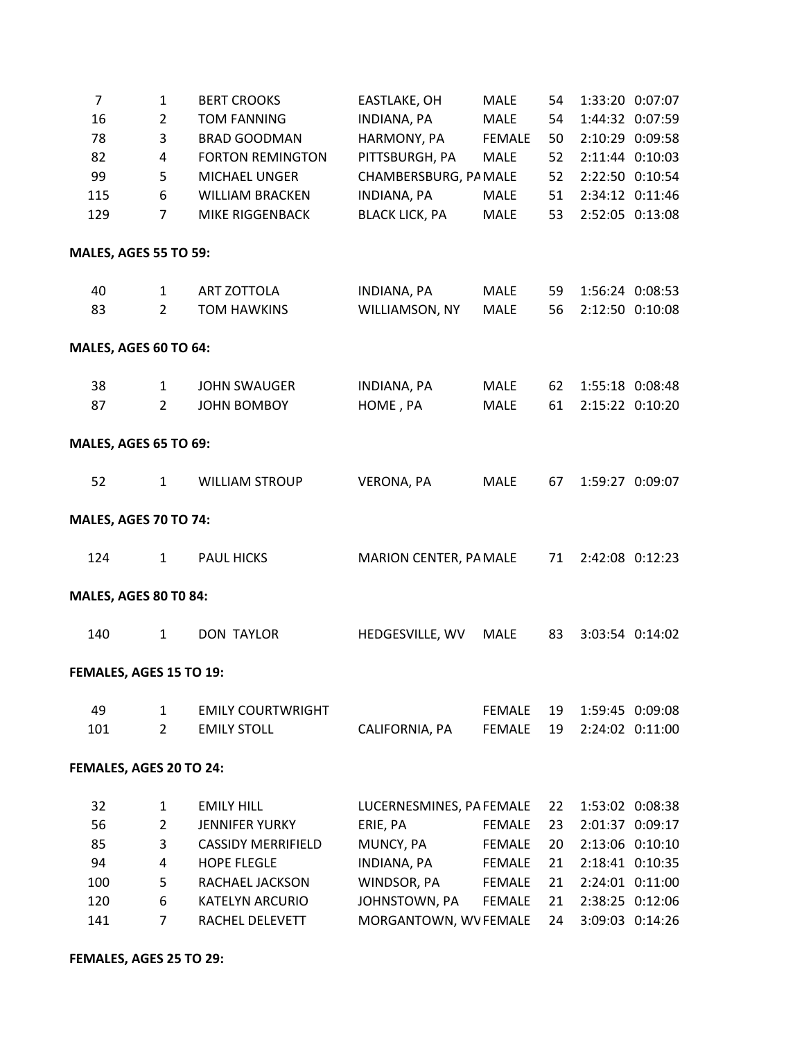| 7                            | $\mathbf{1}$   | <b>BERT CROOKS</b>        | EASTLAKE, OH             | <b>MALE</b>   | 54 |                 | 1:33:20 0:07:07 |
|------------------------------|----------------|---------------------------|--------------------------|---------------|----|-----------------|-----------------|
| 16                           | $\overline{2}$ | <b>TOM FANNING</b>        | <b>INDIANA, PA</b>       | MALE          | 54 |                 | 1:44:32 0:07:59 |
| 78                           | 3              | <b>BRAD GOODMAN</b>       | HARMONY, PA              | <b>FEMALE</b> | 50 | 2:10:29 0:09:58 |                 |
| 82                           | 4              | <b>FORTON REMINGTON</b>   | PITTSBURGH, PA           | <b>MALE</b>   | 52 | 2:11:44 0:10:03 |                 |
| 99                           | 5              | MICHAEL UNGER             | CHAMBERSBURG, PA MALE    |               | 52 | 2:22:50 0:10:54 |                 |
| 115                          | 6              | <b>WILLIAM BRACKEN</b>    | <b>INDIANA, PA</b>       | MALE          | 51 | 2:34:12 0:11:46 |                 |
| 129                          | $\overline{7}$ | MIKE RIGGENBACK           | <b>BLACK LICK, PA</b>    | MALE          | 53 |                 | 2:52:05 0:13:08 |
| <b>MALES, AGES 55 TO 59:</b> |                |                           |                          |               |    |                 |                 |
| 40                           | $\mathbf{1}$   | ART ZOTTOLA               | INDIANA, PA              | MALE          | 59 |                 | 1:56:24 0:08:53 |
| 83                           | $2^{\circ}$    | <b>TOM HAWKINS</b>        | WILLIAMSON, NY           | <b>MALE</b>   | 56 |                 | 2:12:50 0:10:08 |
| MALES, AGES 60 TO 64:        |                |                           |                          |               |    |                 |                 |
| 38                           | $\mathbf{1}$   | <b>JOHN SWAUGER</b>       | INDIANA, PA              | <b>MALE</b>   | 62 |                 | 1:55:18 0:08:48 |
| 87                           | $\overline{2}$ | <b>JOHN BOMBOY</b>        | HOME, PA                 | <b>MALE</b>   | 61 |                 | 2:15:22 0:10:20 |
| <b>MALES, AGES 65 TO 69:</b> |                |                           |                          |               |    |                 |                 |
| 52                           | $\mathbf{1}$   | <b>WILLIAM STROUP</b>     | VERONA, PA               | <b>MALE</b>   | 67 |                 | 1:59:27 0:09:07 |
| <b>MALES, AGES 70 TO 74:</b> |                |                           |                          |               |    |                 |                 |
| 124                          | $\mathbf{1}$   | <b>PAUL HICKS</b>         | MARION CENTER, PA MALE   |               | 71 |                 | 2:42:08 0:12:23 |
| <b>MALES, AGES 80 T0 84:</b> |                |                           |                          |               |    |                 |                 |
| 140                          | $\mathbf{1}$   | <b>DON TAYLOR</b>         | HEDGESVILLE, WV          | <b>MALE</b>   | 83 |                 | 3:03:54 0:14:02 |
| FEMALES, AGES 15 TO 19:      |                |                           |                          |               |    |                 |                 |
| 49                           | $\mathbf{1}$   | <b>EMILY COURTWRIGHT</b>  |                          | FEMALE        | 19 |                 | 1:59:45 0:09:08 |
| 101                          | $2^{\circ}$    | <b>EMILY STOLL</b>        | CALIFORNIA, PA           | <b>FEMALE</b> | 19 | 2:24:02 0:11:00 |                 |
| FEMALES, AGES 20 TO 24:      |                |                           |                          |               |    |                 |                 |
| 32                           | $\mathbf{1}$   | <b>EMILY HILL</b>         | LUCERNESMINES, PA FEMALE |               | 22 |                 | 1:53:02 0:08:38 |
| 56                           | $\overline{2}$ | <b>JENNIFER YURKY</b>     | ERIE, PA                 | <b>FEMALE</b> | 23 | 2:01:37 0:09:17 |                 |
| 85                           | 3              | <b>CASSIDY MERRIFIELD</b> | MUNCY, PA                | <b>FEMALE</b> | 20 | 2:13:06 0:10:10 |                 |
| 94                           | 4              | <b>HOPE FLEGLE</b>        | INDIANA, PA              | FEMALE        | 21 |                 | 2:18:41 0:10:35 |
| 100                          | 5              | RACHAEL JACKSON           | WINDSOR, PA              | <b>FEMALE</b> | 21 | 2:24:01 0:11:00 |                 |
| 120                          | 6              | <b>KATELYN ARCURIO</b>    | JOHNSTOWN, PA            | FEMALE        | 21 | 2:38:25 0:12:06 |                 |
| 141                          | $\overline{7}$ | RACHEL DELEVETT           | MORGANTOWN, WV FEMALE    |               | 24 | 3:09:03 0:14:26 |                 |

**FEMALES, AGES 25 TO 29:**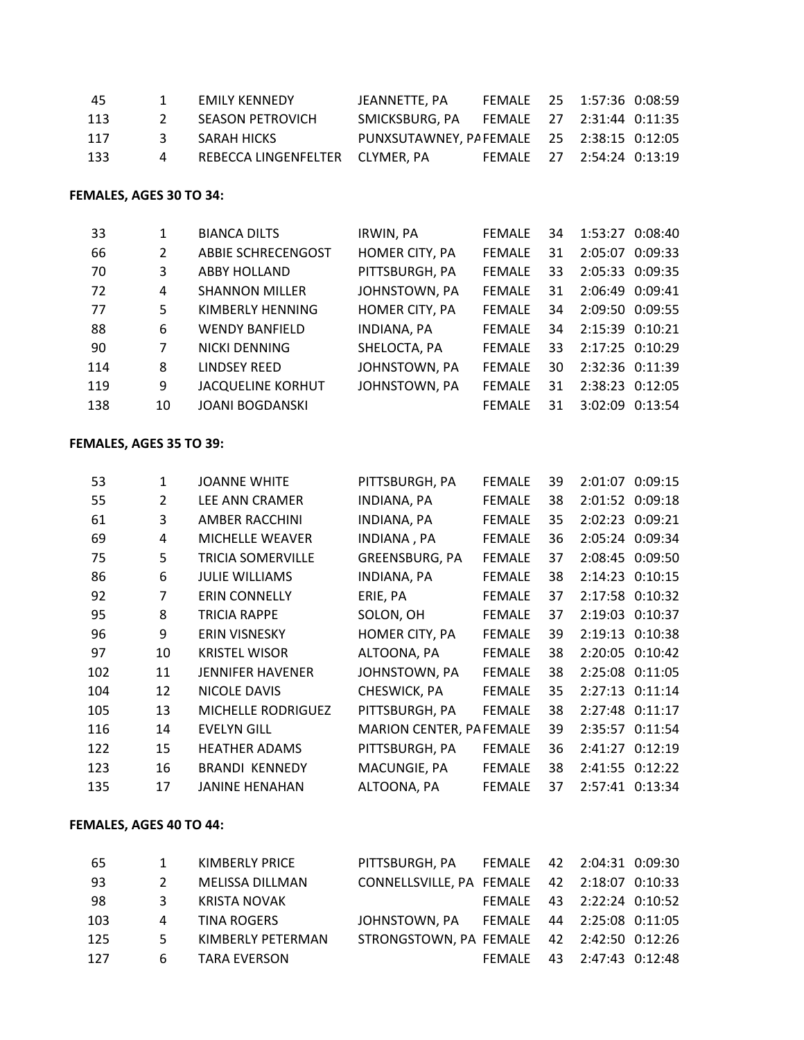| -45 |               | EMILY KENNEDY                   | JEANNETTE. PA                                        | FEMALE 25 1:57:36 0:08:59 |  |  |
|-----|---------------|---------------------------------|------------------------------------------------------|---------------------------|--|--|
| 113 | $\mathcal{L}$ | SEASON PETROVICH                | SMICKSBURG, PA    FEMALE    27    2:31:44    0:11:35 |                           |  |  |
| 117 | 3             | SARAH HICKS                     | PUNXSUTAWNEY, PA FEMALE 25 2:38:15 0:12:05           |                           |  |  |
| 133 |               | REBECCA LINGENFELTER CLYMER. PA |                                                      | FEMALE 27 2:54:24 0:13:19 |  |  |

#### **FEMALES, AGES 30 TO 34:**

| -33 |                | <b>BIANCA DILTS</b>      | IRWIN, PA      | <b>FEMALE</b> | 34              | 1:53:27 0:08:40 |  |
|-----|----------------|--------------------------|----------------|---------------|-----------------|-----------------|--|
| 66  | $\overline{2}$ | ABBIE SCHRECENGOST       | HOMER CITY, PA | <b>FEMALE</b> | 31              | 2:05:07 0:09:33 |  |
| 70  | 3              | <b>ABBY HOLLAND</b>      | PITTSBURGH, PA | <b>FEMALE</b> | 33              | 2:05:33 0:09:35 |  |
| 72  | 4              | <b>SHANNON MILLER</b>    | JOHNSTOWN, PA  | <b>FFMALF</b> | 31              | 2:06:49 0:09:41 |  |
| 77  | 5              | KIMBERLY HENNING         | HOMER CITY, PA | <b>FEMALE</b> | 34              | 2:09:50 0:09:55 |  |
| 88  | 6              | <b>WENDY BANFIELD</b>    | INDIANA, PA    | <b>FEMALE</b> | 34              | 2:15:39 0:10:21 |  |
| -90 | 7              | NICKI DENNING            | SHELOCTA, PA   | <b>FEMALE</b> | 33 <sup>2</sup> | 2:17:25 0:10:29 |  |
| 114 | 8              | <b>LINDSEY REED</b>      | JOHNSTOWN, PA  | <b>FEMALE</b> | 30              | 2:32:36 0:11:39 |  |
| 119 | 9              | <b>JACQUELINE KORHUT</b> | JOHNSTOWN, PA  | <b>FEMALE</b> | 31              | 2:38:23 0:12:05 |  |
| 138 | 10             | <b>JOANI BOGDANSKI</b>   |                | <b>FEMALE</b> | 31              | 3:02:09 0:13:54 |  |

## **FEMALES, AGES 35 TO 39:**

| 53  | $\mathbf{1}$   | <b>JOANNE WHITE</b>      | PITTSBURGH, PA           | <b>FEMALE</b> | 39 | 2:01:07 0:09:15 |
|-----|----------------|--------------------------|--------------------------|---------------|----|-----------------|
| 55  | $\overline{2}$ | <b>LEE ANN CRAMER</b>    | INDIANA, PA              | <b>FEMALE</b> | 38 | 2:01:52 0:09:18 |
| 61  | 3              | AMBER RACCHINI           | <b>INDIANA, PA</b>       | <b>FEMALE</b> | 35 | 2:02:23 0:09:21 |
| 69  | 4              | <b>MICHELLE WEAVER</b>   | INDIANA, PA              | <b>FEMALE</b> | 36 | 2:05:24 0:09:34 |
| 75  | 5              | <b>TRICIA SOMERVILLE</b> | <b>GREENSBURG, PA</b>    | <b>FEMALE</b> | 37 | 2:08:45 0:09:50 |
| 86  | 6              | <b>JULIE WILLIAMS</b>    | INDIANA, PA              | <b>FEMALE</b> | 38 | 2:14:23 0:10:15 |
| 92  | 7              | <b>ERIN CONNELLY</b>     | ERIE, PA                 | <b>FEMALE</b> | 37 | 2:17:58 0:10:32 |
| 95  | 8              | <b>TRICIA RAPPE</b>      | SOLON, OH                | <b>FEMALE</b> | 37 | 2:19:03 0:10:37 |
| 96  | 9              | <b>ERIN VISNESKY</b>     | HOMER CITY, PA           | <b>FEMALE</b> | 39 | 2:19:13 0:10:38 |
| 97  | 10             | <b>KRISTEL WISOR</b>     | ALTOONA, PA              | <b>FEMALE</b> | 38 | 2:20:05 0:10:42 |
| 102 | 11             | <b>JENNIFER HAVENER</b>  | JOHNSTOWN, PA            | <b>FEMALE</b> | 38 | 2:25:08 0:11:05 |
| 104 | 12             | NICOLE DAVIS             | CHESWICK, PA             | <b>FEMALE</b> | 35 | 2:27:13 0:11:14 |
| 105 | 13             | MICHELLE RODRIGUEZ       | PITTSBURGH, PA           | <b>FEMALE</b> | 38 | 2:27:48 0:11:17 |
| 116 | 14             | <b>EVELYN GILL</b>       | MARION CENTER, PA FEMALE |               | 39 | 2:35:57 0:11:54 |
| 122 | 15             | <b>HEATHER ADAMS</b>     | PITTSBURGH, PA           | <b>FEMALE</b> | 36 | 2:41:27 0:12:19 |
| 123 | 16             | <b>BRANDI KENNEDY</b>    | MACUNGIE, PA             | <b>FEMALE</b> | 38 | 2:41:55 0:12:22 |
| 135 | 17             | JANINE HENAHAN           | ALTOONA, PA              | <b>FEMALE</b> | 37 | 2:57:41 0:13:34 |

## **FEMALES, AGES 40 TO 44:**

| -65 |   | KIMBERLY PRICE    |                                             |  |                           |  |
|-----|---|-------------------|---------------------------------------------|--|---------------------------|--|
| -93 | 2 | MELISSA DILLMAN   | CONNELLSVILLE, PA FEMALE 42 2:18:07 0:10:33 |  |                           |  |
| -98 | 3 | KRISTA NOVAK      |                                             |  | FEMALE 43 2:22:24 0:10:52 |  |
| 103 | 4 | TINA ROGERS       | JOHNSTOWN, PA FEMALE 44 2:25:08 0:11:05     |  |                           |  |
| 125 |   | KIMBERLY PETERMAN | STRONGSTOWN, PA FEMALE 42 2:42:50 0:12:26   |  |                           |  |
| 127 |   | 6 TARA EVERSON    |                                             |  | FEMALE 43 2:47:43 0:12:48 |  |